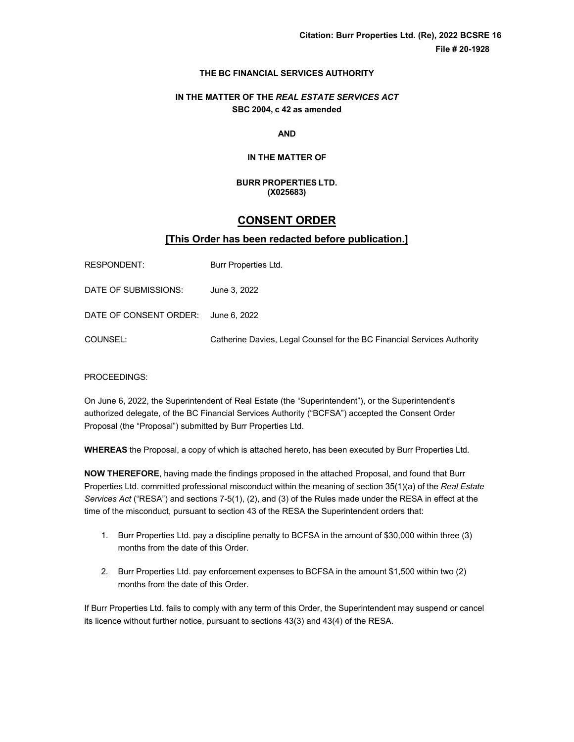# **THE BC FINANCIAL SERVICES AUTHORITY**

# **IN THE MATTER OF THE** *REAL ESTATE SERVICES ACT* **SBC 2004, c 42 as amended**

**AND**

# **IN THE MATTER OF**

#### **BURR PROPERTIES LTD. (X025683)**

# **CONSENT ORDER**

# **[This Order has been redacted before publication.]**

| RESPONDENT:                         | Burr Properties Ltd.                                                    |
|-------------------------------------|-------------------------------------------------------------------------|
| DATE OF SUBMISSIONS:                | June 3, 2022                                                            |
| DATE OF CONSENT ORDER: June 6, 2022 |                                                                         |
| COUNSEL:                            | Catherine Davies, Legal Counsel for the BC Financial Services Authority |

# PROCEEDINGS:

On June 6, 2022, the Superintendent of Real Estate (the "Superintendent"), or the Superintendent's authorized delegate, of the BC Financial Services Authority ("BCFSA") accepted the Consent Order Proposal (the "Proposal") submitted by Burr Properties Ltd.

**WHEREAS** the Proposal, a copy of which is attached hereto, has been executed by Burr Properties Ltd.

**NOW THEREFORE**, having made the findings proposed in the attached Proposal, and found that Burr Properties Ltd. committed professional misconduct within the meaning of section 35(1)(a) of the *Real Estate Services Act* ("RESA") and sections 7-5(1), (2), and (3) of the Rules made under the RESA in effect at the time of the misconduct, pursuant to section 43 of the RESA the Superintendent orders that:

- 1. Burr Properties Ltd. pay a discipline penalty to BCFSA in the amount of \$30,000 within three (3) months from the date of this Order.
- 2. Burr Properties Ltd. pay enforcement expenses to BCFSA in the amount \$1,500 within two (2) months from the date of this Order.

If Burr Properties Ltd. fails to comply with any term of this Order, the Superintendent may suspend or cancel its licence without further notice, pursuant to sections 43(3) and 43(4) of the RESA.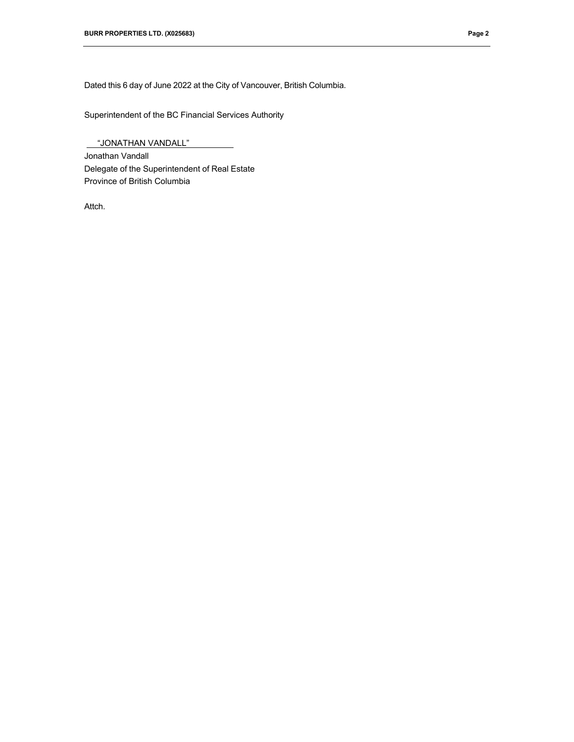Dated this 6 day of June 2022 at the City of Vancouver, British Columbia.

Superintendent of the BC Financial Services Authority

 "JONATHAN VANDALL" Jonathan Vandall Delegate of the Superintendent of Real Estate Province of British Columbia

Attch.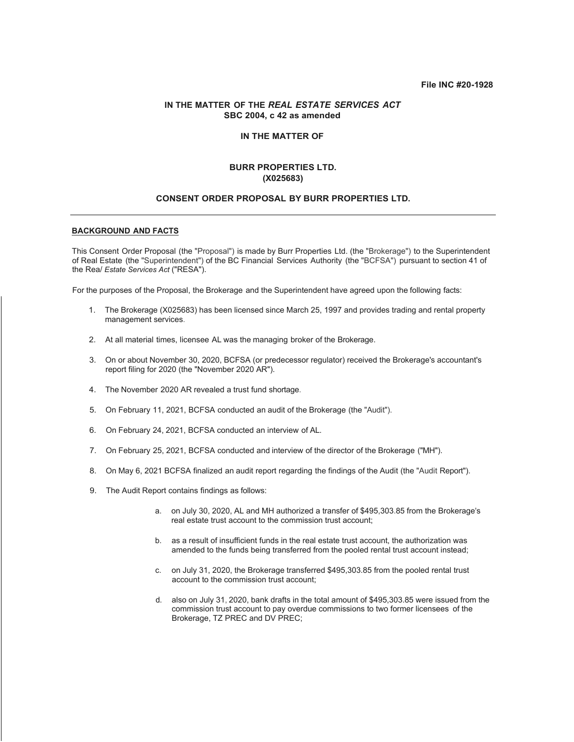#### **File INC #20-1928**

## **IN THE MATTER OF THE** *REAL ESTATE SERVICES ACT* **SBC 2004, c 42 as amended**

#### **IN THE MATTER OF**

# **BURR PROPERTIES LTD. (X025683)**

#### **CONSENT ORDER PROPOSAL BY BURR PROPERTIES LTD.**

#### **BACKGROUND AND FACTS**

This Consent Order Proposal (the "Proposal") is made by Burr Properties Ltd. (the "Brokerage") to the Superintendent of Real Estate (the "Superintendent") of the BC Financial Services Authority (the "BCFSA") pursuant to section 41 of the Rea/ *Estate Services Act* ("RESA").

For the purposes of the Proposal, the Brokerage and the Superintendent have agreed upon the following facts:

- 1. The Brokerage (X025683) has been licensed since March 25, 1997 and provides trading and rental property management services.
- 2. At all material times, licensee AL was the managing broker of the Brokerage.
- 3. On or about November 30, 2020, BCFSA (or predecessor regulator) received the Brokerage's accountant's report filing for 2020 (the "November 2020 AR").
- 4. The November 2020 AR revealed a trust fund shortage.
- 5. On February 11, 2021, BCFSA conducted an audit of the Brokerage (the "Audit").
- 6. On February 24, 2021, BCFSA conducted an interview of AL.
- 7. On February 25, 2021, BCFSA conducted and interview of the director of the Brokerage ("MH").
- 8. On May 6, 2021 BCFSA finalized an audit report regarding the findings of the Audit (the "Audit Report").
- 9. The Audit Report contains findings as follows:
	- a. on July 30, 2020, AL and MH authorized a transfer of \$495,303.85 from the Brokerage's real estate trust account to the commission trust account;
	- b. as a result of insufficient funds in the real estate trust account, the authorization was amended to the funds being transferred from the pooled rental trust account instead;
	- c. on July 31, 2020, the Brokerage transferred \$495,303.85 from the pooled rental trust account to the commission trust account;
	- d. also on July 31, 2020, bank drafts in the total amount of \$495,303.85 were issued from the commission trust account to pay overdue commissions to two former licensees of the Brokerage, TZ PREC and DV PREC;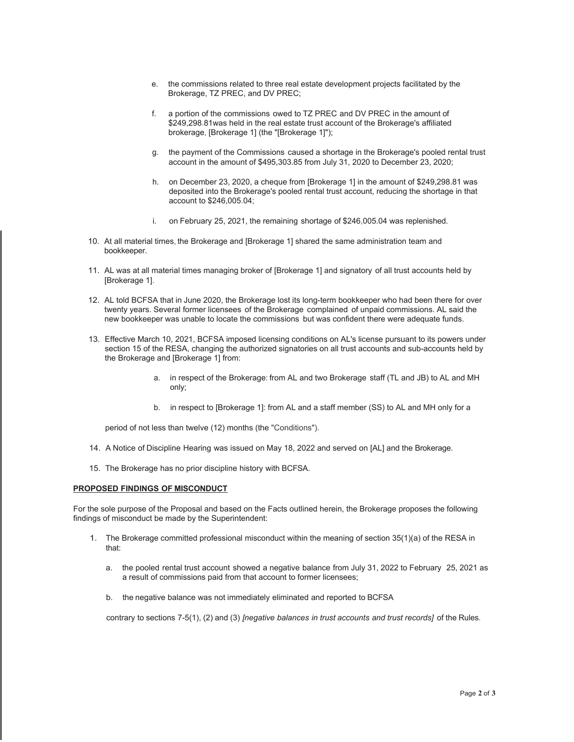- e. the commissions related to three real estate development projects facilitated by the Brokerage, TZ PREC, and DV PREC;
- f. a portion of the commissions owed to TZ PREC and DV PREC in the amount of \$249,298.81was held in the real estate trust account of the Brokerage's affiliated brokerage, [Brokerage 1] (the "[Brokerage 1]");
- g. the payment of the Commissions caused a shortage in the Brokerage's pooled rental trust account in the amount of \$495,303.85 from July 31, 2020 to December 23, 2020;
- h. on December 23, 2020, a cheque from [Brokerage 1] in the amount of \$249,298.81 was deposited into the Brokerage's pooled rental trust account, reducing the shortage in that account to \$246,005.04;
- i. on February 25, 2021, the remaining shortage of \$246,005.04 was replenished.
- 10. At all material times, the Brokerage and [Brokerage 1] shared the same administration team and bookkeeper.
- 11. AL was at all material times managing broker of [Brokerage 1] and signatory of all trust accounts held by [Brokerage 1].
- 12. AL told BCFSA that in June 2020, the Brokerage lost its long-term bookkeeper who had been there for over twenty years. Several former licensees of the Brokerage complained of unpaid commissions. AL said the new bookkeeper was unable to locate the commissions but was confident there were adequate funds.
- 13. Effective March 10, 2021, BCFSA imposed licensing conditions on AL's license pursuant to its powers under section 15 of the RESA, changing the authorized signatories on all trust accounts and sub-accounts held by the Brokerage and [Brokerage 1] from:
	- a. in respect of the Brokerage: from AL and two Brokerage staff (TL and JB) to AL and MH only;
	- b. in respect to [Brokerage 1]: from AL and a staff member (SS) to AL and MH only for a

period of not less than twelve (12) months (the "Conditions").

- 14. A Notice of Discipline Hearing was issued on May 18, 2022 and served on [AL] and the Brokerage.
- 15. The Brokerage has no prior discipline history with BCFSA.

#### **PROPOSED FINDINGS OF MISCONDUCT**

For the sole purpose of the Proposal and based on the Facts outlined herein, the Brokerage proposes the following findings of misconduct be made by the Superintendent:

- 1. The Brokerage committed professional misconduct within the meaning of section 35(1)(a) of the RESA in that:
	- a. the pooled rental trust account showed a negative balance from July 31, 2022 to February 25, 2021 as a result of commissions paid from that account to former licensees;
	- b. the negative balance was not immediately eliminated and reported to BCFSA

contrary to sections 7-5(1), (2) and (3) *[negative balances in trust accounts and trust records]* of the Rules.